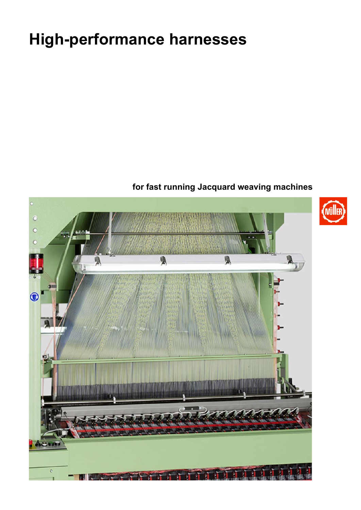# **High-performance harnesses**

## **for fast running Jacquard weaving machines**